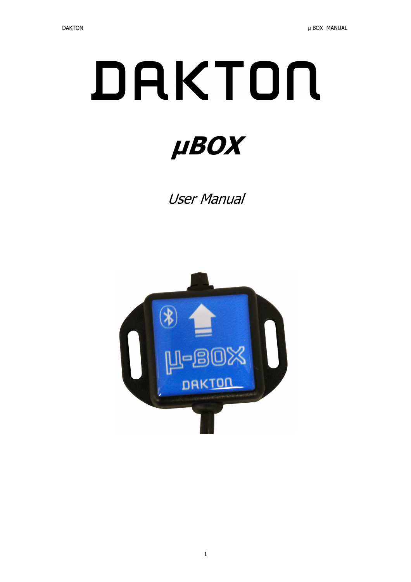# DAKTON µBOX

User Manual

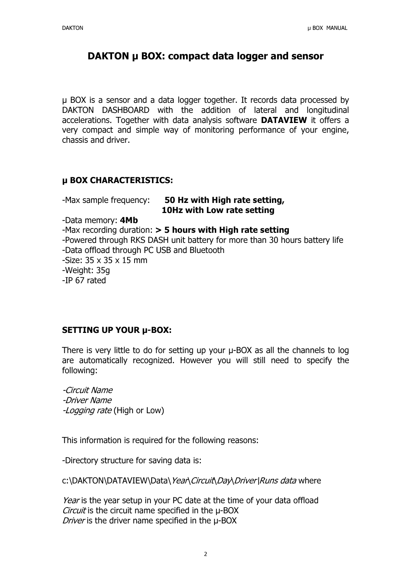# DAKTON µ BOX: compact data logger and sensor

µ BOX is a sensor and a data logger together. It records data processed by DAKTON DASHBOARD with the addition of lateral and longitudinal accelerations. Together with data analysis software **DATAVIEW** it offers a very compact and simple way of monitoring performance of your engine, chassis and driver.

### µ BOX CHARACTERISTICS:

| -Max sample frequency:                     | 50 Hz with High rate setting,<br>10Hz with Low rate setting                |
|--------------------------------------------|----------------------------------------------------------------------------|
| -Data memory: 4Mb                          |                                                                            |
|                                            |                                                                            |
|                                            | -Max recording duration: $>$ 5 hours with High rate setting                |
|                                            | -Powered through RKS DASH unit battery for more than 30 hours battery life |
| -Data offload through PC USB and Bluetooth |                                                                            |
| -Size: $35 \times 35 \times 15$ mm         |                                                                            |
| -Weight: 35g                               |                                                                            |

-IP 67 rated

### SETTING UP YOUR µ-BOX:

There is very little to do for setting up your  $\mu$ -BOX as all the channels to log are automatically recognized. However you will still need to specify the following:

*-Circuit Name -Driver Name -Logging rate* (High or Low)

This information is required for the following reasons:

-Directory structure for saving data is:

c:\DAKTON\DATAVIEW\Data\*Year*\*Circuit*\*Day*\*Driver\Runs data* where

*Year* is the year setup in your PC date at the time of your data offload *Circuit* is the circuit name specified in the µ-BOX *Driver* is the driver name specified in the µ-BOX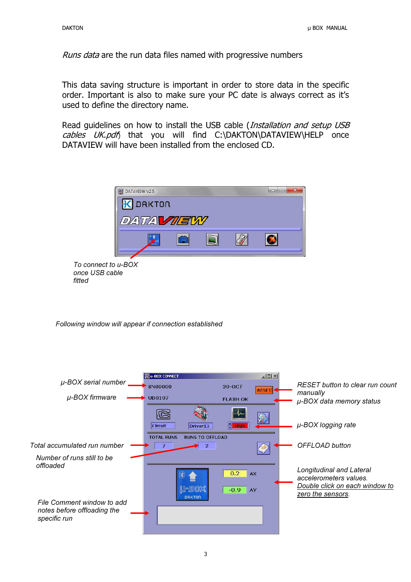*Runs data* are the run data files named with progressive numbers

This data saving structure is important in order to store data in the specific order. Important is also to make sure your PC date is always correct as it's used to define the directory name.

Read guidelines on how to install the USB cable (*Installation and setup USB cables UK.pdf*) that you will find C:\DAKTON\DATAVIEW\HELP once DATAVIEW will have been installed from the enclosed CD.



Following window will appear if connection established

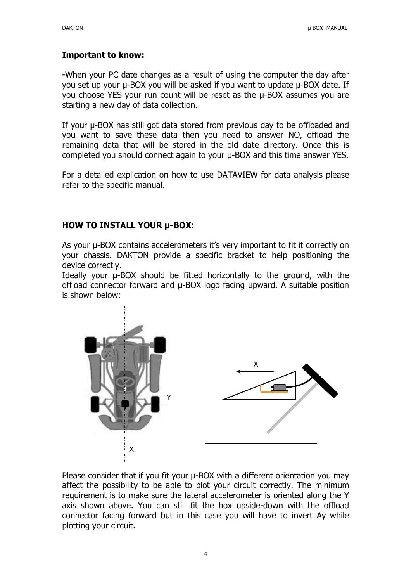# Important to know:

-When your PC date changes as a result of using the computer the day after you set up your µ-BOX you will be asked if you want to update µ-BOX date. If you choose YES your run count will be reset as the µ-BOX assumes you are starting a new day of data collection.

If your µ-BOX has still got data stored from previous day to be offloaded and you want to save these data then you need to answer NO, offload the remaining data that will be stored in the old date directory. Once this is completed you should connect again to your µ-BOX and this time answer YES.

For a detailed explication on how to use DATAVIEW for data analysis please refer to the specific manual.

## HOW TO INSTALL YOUR µ-BOX:

As your µ-BOX contains accelerometers it's very important to fit it correctly on your chassis. DAKTON provide a specific bracket to help positioning the device correctly.

Ideally your µ-BOX should be fitted horizontally to the ground, with the offload connector forward and µ-BOX logo facing upward. A suitable position is shown below:



Please consider that if you fit your u-BOX with a different orientation you may affect the possibility to be able to plot your circuit correctly. The minimum requirement is to make sure the lateral accelerometer is oriented along the Y axis shown above. You can still fit the box upside-down with the offload connector facing forward but in this case you will have to invert Ay while plotting your circuit.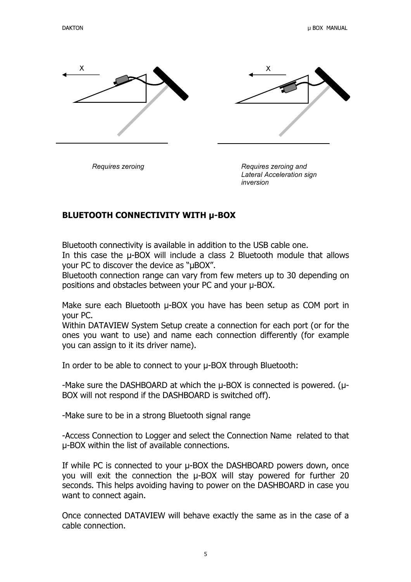

Requires zeroing **Requires** *Requires zeroing and* Lateral Acceleration sign inversion

# BLUETOOTH CONNECTIVITY WITH µ-BOX

Bluetooth connectivity is available in addition to the USB cable one.

In this case the  $\mu$ -BOX will include a class 2 Bluetooth module that allows your PC to discover the device as "µBOX".

Bluetooth connection range can vary from few meters up to 30 depending on positions and obstacles between your PC and your µ-BOX.

Make sure each Bluetooth  $\mu$ -BOX you have has been setup as COM port in your PC.

Within DATAVIEW System Setup create a connection for each port (or for the ones you want to use) and name each connection differently (for example you can assign to it its driver name).

In order to be able to connect to your µ-BOX through Bluetooth:

-Make sure the DASHBOARD at which the µ-BOX is connected is powered. (µ-BOX will not respond if the DASHBOARD is switched off).

-Make sure to be in a strong Bluetooth signal range

-Access Connection to Logger and select the Connection Name related to that µ-BOX within the list of available connections.

If while PC is connected to your  $\mu$ -BOX the DASHBOARD powers down, once you will exit the connection the µ-BOX will stay powered for further 20 seconds. This helps avoiding having to power on the DASHBOARD in case you want to connect again.

Once connected DATAVIEW will behave exactly the same as in the case of a cable connection.